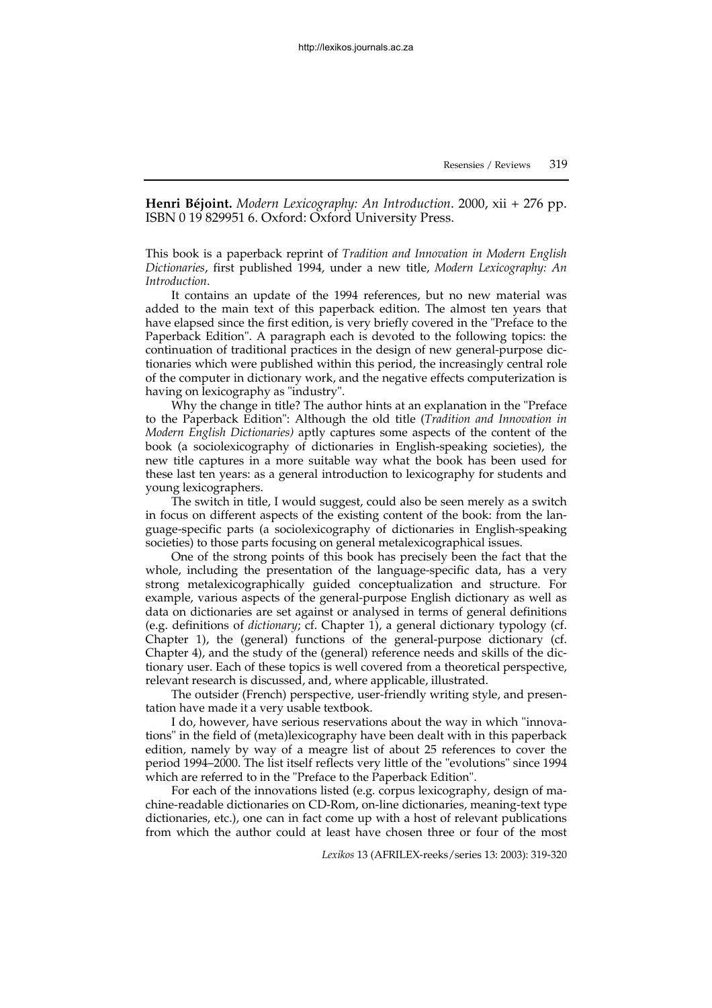**Henri Béjoint.** *Modern Lexicography: An Introduction*. 2000, xii + 276 pp. ISBN 0 19 829951 6. Oxford: Oxford University Press.

This book is a paperback reprint of *Tradition and Innovation in Modern English Dictionaries*, first published 1994, under a new title, *Modern Lexicography: An Introduction*.

It contains an update of the 1994 references, but no new material was added to the main text of this paperback edition. The almost ten years that have elapsed since the first edition, is very briefly covered in the "Preface to the Paperback Edition". A paragraph each is devoted to the following topics: the continuation of traditional practices in the design of new general-purpose dictionaries which were published within this period, the increasingly central role of the computer in dictionary work, and the negative effects computerization is having on lexicography as "industry".

Why the change in title? The author hints at an explanation in the "Preface to the Paperback Edition": Although the old title (*Tradition and Innovation in Modern English Dictionaries)* aptly captures some aspects of the content of the book (a sociolexicography of dictionaries in English-speaking societies), the new title captures in a more suitable way what the book has been used for these last ten years: as a general introduction to lexicography for students and young lexicographers.

The switch in title, I would suggest, could also be seen merely as a switch in focus on different aspects of the existing content of the book: from the language-specific parts (a sociolexicography of dictionaries in English-speaking societies) to those parts focusing on general metalexicographical issues.

One of the strong points of this book has precisely been the fact that the whole, including the presentation of the language-specific data, has a very strong metalexicographically guided conceptualization and structure. For example, various aspects of the general-purpose English dictionary as well as data on dictionaries are set against or analysed in terms of general definitions (e.g. definitions of *dictionary*; cf. Chapter 1), a general dictionary typology (cf. Chapter 1), the (general) functions of the general-purpose dictionary (cf. Chapter 4), and the study of the (general) reference needs and skills of the dictionary user. Each of these topics is well covered from a theoretical perspective, relevant research is discussed, and, where applicable, illustrated.

The outsider (French) perspective, user-friendly writing style, and presentation have made it a very usable textbook.

I do, however, have serious reservations about the way in which "innovations" in the field of (meta)lexicography have been dealt with in this paperback edition, namely by way of a meagre list of about 25 references to cover the period 1994–2000. The list itself reflects very little of the "evolutions" since 1994 which are referred to in the "Preface to the Paperback Edition".

For each of the innovations listed (e.g. corpus lexicography, design of machine-readable dictionaries on CD-Rom, on-line dictionaries, meaning-text type dictionaries, etc.), one can in fact come up with a host of relevant publications from which the author could at least have chosen three or four of the most

*Lexikos* 13 (AFRILEX-reeks/series 13: 2003): 319-320